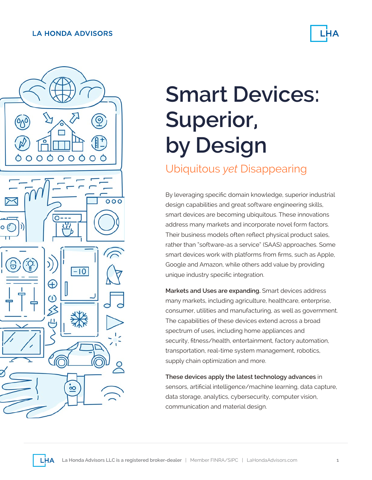### **LA HONDA ADVISORS**





# **Smart Devices: Superior, by Design**

### Ubiquitous *yet* Disappearing

By leveraging specific domain knowledge, superior industrial design capabilities and great software engineering skills, smart devices are becoming ubiquitous. These innovations address many markets and incorporate novel form factors. Their business models often reflect physical product sales, rather than "software-as a service" (SAAS) approaches. Some smart devices work with platforms from firms, such as Apple, Google and Amazon, while others add value by providing unique industry specific integration.

**Markets and Uses are expanding.** Smart devices address many markets, including agriculture, healthcare, enterprise, consumer, utilities and manufacturing, as well as government. The capabilities of these devices extend across a broad spectrum of uses, including home appliances and security, fitness/health, entertainment, factory automation, transportation, real-time system management, robotics, supply chain optimization and more.

**These devices apply the latest technology advances** in sensors, artificial intelligence/machine learning, data capture, data storage, analytics, cybersecurity, computer vision, communication and material design.

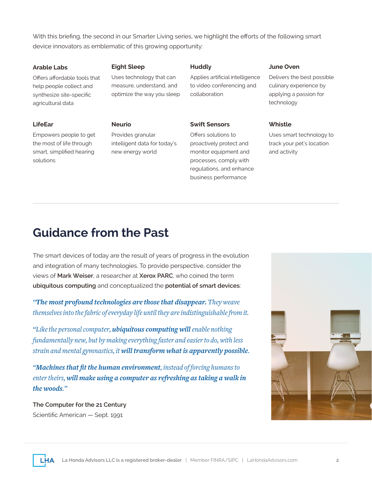With this briefing, the second in our Smarter Living series, we highlight the efforts of the following smart device innovators as emblematic of this growing opportunity:

#### **Arable Labs**

**LifeEar**

Offers affordable tools that help people collect and synthesize site-specific agricultural data

#### **Eight Sleep**

**Neurio**

Uses technology that can measure, understand, and optimize the way you sleep

### **Huddly**

Applies artificial intelligence to video conferencing and collaboration

#### **Swift Sensors**

Offers solutions to proactively protect and monitor equipment and processes, comply with regulations, and enhance business performance

#### **June Oven**

Delivers the best possible culinary experience by applying a passion for technology

#### **Whistle**

Uses smart technology to track your pet's location and activity

### Empowers people to get the most of life through smart, simplified hearing solutions

Provides granular intelligent data for today's new energy world

### **Guidance from the Past**

The smart devices of today are the result of years of progress in the evolution and integration of many technologies. To provide perspective, consider the views of **Mark Weiser**, a researcher at **Xerox PARC**, who coined the term **ubiquitous computing** and conceptualized the **potential of smart devices**:

*"The most profound technologies are those that disappear. They weave themselves into the fabric of everyday life until they are indistinguishable from it.*

*"Like the personal computer, ubiquitous computing will enable nothing fundamentally new, but by making everything faster and easier to do, with less strain and mental gymnastics, it will transform what is apparently possible.* 

*"Machines that fit the human environment, instead of forcing humans to enter theirs, will make using a computer as refreshing as taking a walk in the woods."*

**The Computer for the 21 Century** Scientific American — Sept. 1991

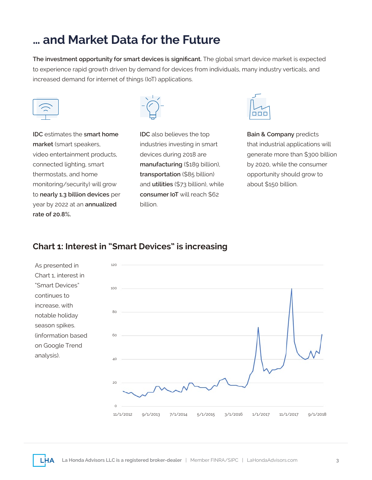### **… and Market Data for the Future**

**The investment opportunity for smart devices is significant.** The global smart device market is expected to experience rapid growth driven by demand for devices from individuals, many industry verticals, and increased demand for internet of things (IoT) applications.





**IDC** estimates the **smart home market** (smart speakers, video entertainment products, connected lighting, smart thermostats, and home monitoring/security) will grow to **nearly 1.3 billion devices** per year by 2022 at an **annualized rate of 20.8%.**

**IDC** also believes the top industries investing in smart devices during 2018 are **manufacturing** (\$189 billion), **transportation** (\$85 billion) and **utilities** (\$73 billion), while **consumer IoT** will reach \$62 billion.



**Bain & Company** predicts that industrial applications will generate more than \$300 billion by 2020, while the consumer opportunity should grow to about \$150 billion.

### **Chart 1: Interest in "Smart Devices" is increasing**

As presented in Chart 1, interest in "Smart Devices" continues to increase, with notable holiday season spikes. (information based on Google Trend analysis).

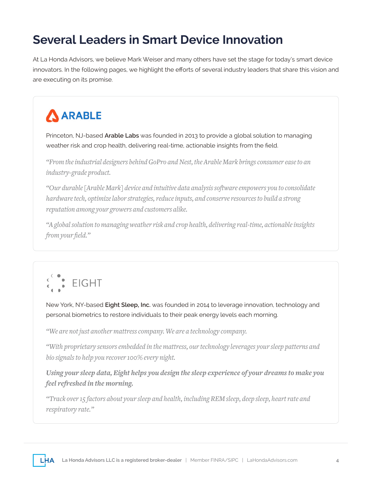## **Several Leaders in Smart Device Innovation**

At La Honda Advisors, we believe Mark Weiser and many others have set the stage for today's smart device innovators. In the following pages, we highlight the efforts of several industry leaders that share this vision and are executing on its promise.

# ARABLE

Princeton, NJ-based **Arable Labs** was founded in 2013 to provide a global solution to managing weather risk and crop health, delivering real-time, actionable insights from the field.

*"From the industrial designers behind GoPro and Nest, the Arable Mark brings consumer ease to an industry-grade product.*

*"Our durable [Arable Mark] device and intuitive data analysis software empowers you to consolidate hardware tech, optimize labor strategies, reduce inputs, and conserve resources to build a strong reputation among your growers and customers alike.*

*"A global solution to managing weather risk and crop health, delivering real-time, actionable insights from your field."*



New York, NY-based **Eight Sleep, Inc.** was founded in 2014 to leverage innovation, technology and personal biometrics to restore individuals to their peak energy levels each morning.

*"We are not just another mattress company. We are a technology company.*

*"With proprietary sensors embedded in the mattress, our technology leverages your sleep patterns and bio signals to help you recover 100% every night.* 

*Using your sleep data, Eight helps you design the sleep experience of your dreams to make you feel refreshed in the morning.*

*"Track over 15 factors about your sleep and health, including REM sleep, deep sleep, heart rate and respiratory rate."*

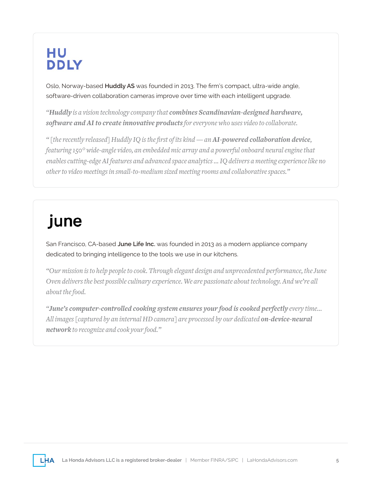# HU **DDLY**

Oslo, Norway-based **Huddly AS** was founded in 2013. The firm's compact, ultra-wide angle, software-driven collaboration cameras improve over time with each intelligent upgrade.

*"Huddly is a vision technology company that combines Scandinavian-designed hardware, software and AI to create innovative products for everyone who uses video to collaborate.*

*" [the recently released] Huddly IQ is the first of its kind — an AI-powered collaboration device, featuring 150° wide-angle video, an embedded mic array and a powerful onboard neural engine that enables cutting-edge AI features and advanced space analytics … IQ delivers a meeting experience like no other to video meetings in small-to-medium sized meeting rooms and collaborative spaces."*

# june

San Francisco, CA-based **June Life Inc.** was founded in 2013 as a modern appliance company dedicated to bringing intelligence to the tools we use in our kitchens.

*"Our mission is to help people to cook. Through elegant design and unprecedented performance, the June Oven delivers the best possible culinary experience. We are passionate about technology. And we're all about the food.*

*"June's computer-controlled cooking system ensures your food is cooked perfectly every time… All images [captured by an internal HD camera] are processed by our dedicated on-device-neural network to recognize and cook your food."*

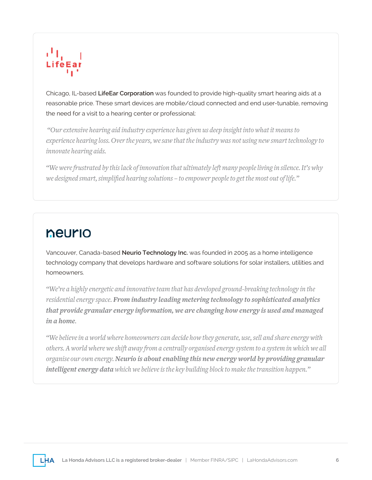

Chicago, IL-based **LifeEar Corporation** was founded to provide high-quality smart hearing aids at a reasonable price. These smart devices are mobile/cloud connected and end user-tunable, removing the need for a visit to a hearing center or professional:

 *"Our extensive hearing aid industry experience has given us deep insight into what it means to experience hearing loss. Over the years, we saw that the industry was not using new smart technology to innovate hearing aids.*

*"We were frustrated by this lack of innovation that ultimately left many people living in silence. It's why we designed smart, simplified hearing solutions – to empower people to get the most out of life."*

### neurio

Vancouver, Canada-based **Neurio Technology Inc.** was founded in 2005 as a home intelligence technology company that develops hardware and software solutions for solar installers, utilities and homeowners.

*"We're a highly energetic and innovative team that has developed ground-breaking technology in the residential energy space. From industry leading metering technology to sophisticated analytics that provide granular energy information, we are changing how energy is used and managed in a home.*

*"We believe in a world where homeowners can decide how they generate, use, sell and share energy with others. A world where we shift away from a centrally organised energy system to a system in which we all organise our own energy. Neurio is about enabling this new energy world by providing granular intelligent energy data which we believe is the key building block to make the transition happen."*

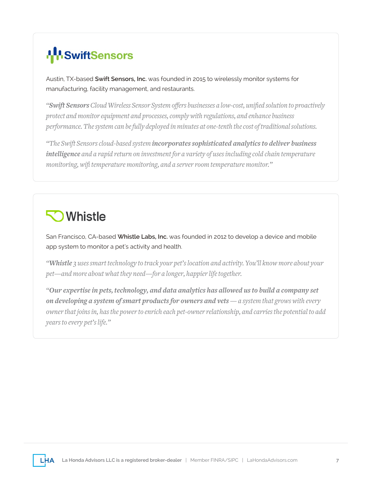# **IN**SwiftSensors

Austin, TX-based **Swift Sensors, Inc.** was founded in 2015 to wirelessly monitor systems for manufacturing, facility management, and restaurants.

*"Swift Sensors Cloud Wireless Sensor System offers businesses a low-cost, unified solution to proactively protect and monitor equipment and processes, comply with regulations, and enhance business performance. The system can be fully deployed in minutes at one-tenth the cost of traditional solutions.* 

*"The Swift Sensors cloud-based system incorporates sophisticated analytics to deliver business intelligence and a rapid return on investment for a variety of uses including cold chain temperature monitoring, wifi temperature monitoring, and a server room temperature monitor."*

# **Whistle**

San Francisco, CA-based **Whistle Labs, Inc.** was founded in 2012 to develop a device and mobile app system to monitor a pet's activity and health.

*"Whistle 3 uses smart technology to track your pet's location and activity. You'll know more about your pet—and more about what they need—for a longer, happier life together.*

*"Our expertise in pets, technology, and data analytics has allowed us to build a company set on developing a system of smart products for owners and vets — a system that grows with every owner that joins in, has the power to enrich each pet-owner relationship, and carries the potential to add years to every pet's life."*